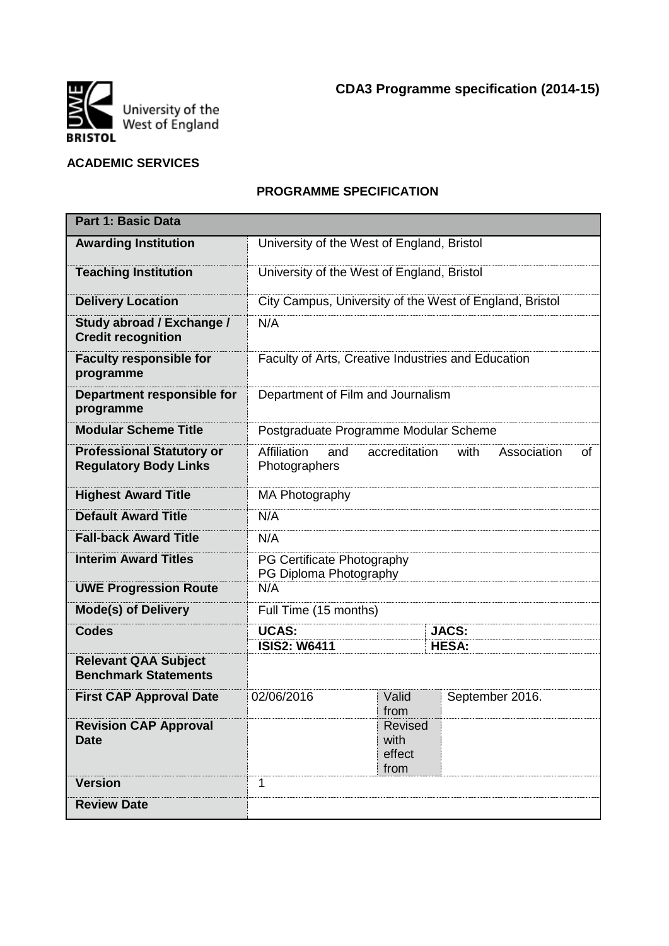

## **ACADEMIC SERVICES**

# **PROGRAMME SPECIFICATION**

| <b>Part 1: Basic Data</b>                                        |                                                                                   |  |                              |  |  |  |  |
|------------------------------------------------------------------|-----------------------------------------------------------------------------------|--|------------------------------|--|--|--|--|
| <b>Awarding Institution</b>                                      | University of the West of England, Bristol                                        |  |                              |  |  |  |  |
| <b>Teaching Institution</b>                                      | University of the West of England, Bristol                                        |  |                              |  |  |  |  |
| <b>Delivery Location</b>                                         | City Campus, University of the West of England, Bristol                           |  |                              |  |  |  |  |
| Study abroad / Exchange /<br><b>Credit recognition</b>           | N/A                                                                               |  |                              |  |  |  |  |
| <b>Faculty responsible for</b><br>programme                      | Faculty of Arts, Creative Industries and Education                                |  |                              |  |  |  |  |
| Department responsible for<br>programme                          | Department of Film and Journalism                                                 |  |                              |  |  |  |  |
| <b>Modular Scheme Title</b>                                      | Postgraduate Programme Modular Scheme                                             |  |                              |  |  |  |  |
| <b>Professional Statutory or</b><br><b>Regulatory Body Links</b> | Affiliation<br>accreditation<br>with<br>Association<br>and<br>of<br>Photographers |  |                              |  |  |  |  |
| <b>Highest Award Title</b>                                       | MA Photography                                                                    |  |                              |  |  |  |  |
| <b>Default Award Title</b>                                       | N/A                                                                               |  |                              |  |  |  |  |
| <b>Fall-back Award Title</b>                                     | N/A                                                                               |  |                              |  |  |  |  |
| <b>Interim Award Titles</b>                                      | PG Certificate Photography<br>PG Diploma Photography                              |  |                              |  |  |  |  |
| <b>UWE Progression Route</b>                                     | N/A                                                                               |  |                              |  |  |  |  |
| <b>Mode(s) of Delivery</b>                                       | Full Time (15 months)                                                             |  |                              |  |  |  |  |
| <b>Codes</b>                                                     | <b>UCAS:</b><br><b>ISIS2: W6411</b>                                               |  | <b>JACS:</b><br><b>HESA:</b> |  |  |  |  |
| <b>Relevant QAA Subject</b><br><b>Benchmark Statements</b>       |                                                                                   |  |                              |  |  |  |  |
| <b>First CAP Approval Date</b>                                   | 02/06/2016<br>Valid<br>September 2016.<br>from                                    |  |                              |  |  |  |  |
| <b>Revision CAP Approval</b><br><b>Date</b>                      | <b>Revised</b><br>with<br>effect<br>from                                          |  |                              |  |  |  |  |
| <b>Version</b>                                                   | 1                                                                                 |  |                              |  |  |  |  |
| <b>Review Date</b>                                               |                                                                                   |  |                              |  |  |  |  |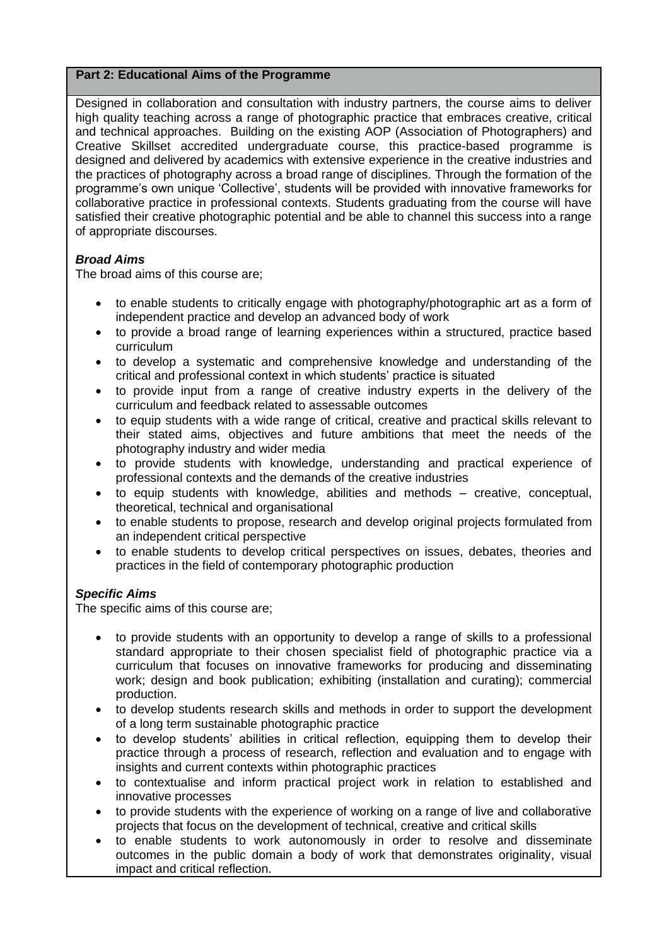# **Part 2: Educational Aims of the Programme**

Designed in collaboration and consultation with industry partners, the course aims to deliver high quality teaching across a range of photographic practice that embraces creative, critical and technical approaches. Building on the existing AOP (Association of Photographers) and Creative Skillset accredited undergraduate course, this practice-based programme is designed and delivered by academics with extensive experience in the creative industries and the practices of photography across a broad range of disciplines. Through the formation of the programme's own unique 'Collective', students will be provided with innovative frameworks for collaborative practice in professional contexts. Students graduating from the course will have satisfied their creative photographic potential and be able to channel this success into a range of appropriate discourses.

# *Broad Aims*

The broad aims of this course are;

- to enable students to critically engage with photography/photographic art as a form of independent practice and develop an advanced body of work
- to provide a broad range of learning experiences within a structured, practice based curriculum
- to develop a systematic and comprehensive knowledge and understanding of the critical and professional context in which students' practice is situated
- to provide input from a range of creative industry experts in the delivery of the curriculum and feedback related to assessable outcomes
- to equip students with a wide range of critical, creative and practical skills relevant to their stated aims, objectives and future ambitions that meet the needs of the photography industry and wider media
- to provide students with knowledge, understanding and practical experience of professional contexts and the demands of the creative industries
- to equip students with knowledge, abilities and methods creative, conceptual, theoretical, technical and organisational
- to enable students to propose, research and develop original projects formulated from an independent critical perspective
- to enable students to develop critical perspectives on issues, debates, theories and practices in the field of contemporary photographic production

# *Specific Aims*

The specific aims of this course are;

- to provide students with an opportunity to develop a range of skills to a professional standard appropriate to their chosen specialist field of photographic practice via a curriculum that focuses on innovative frameworks for producing and disseminating work; design and book publication; exhibiting (installation and curating); commercial production.
- to develop students research skills and methods in order to support the development of a long term sustainable photographic practice
- to develop students' abilities in critical reflection, equipping them to develop their practice through a process of research, reflection and evaluation and to engage with insights and current contexts within photographic practices
- to contextualise and inform practical project work in relation to established and innovative processes
- to provide students with the experience of working on a range of live and collaborative projects that focus on the development of technical, creative and critical skills
- to enable students to work autonomously in order to resolve and disseminate outcomes in the public domain a body of work that demonstrates originality, visual impact and critical reflection.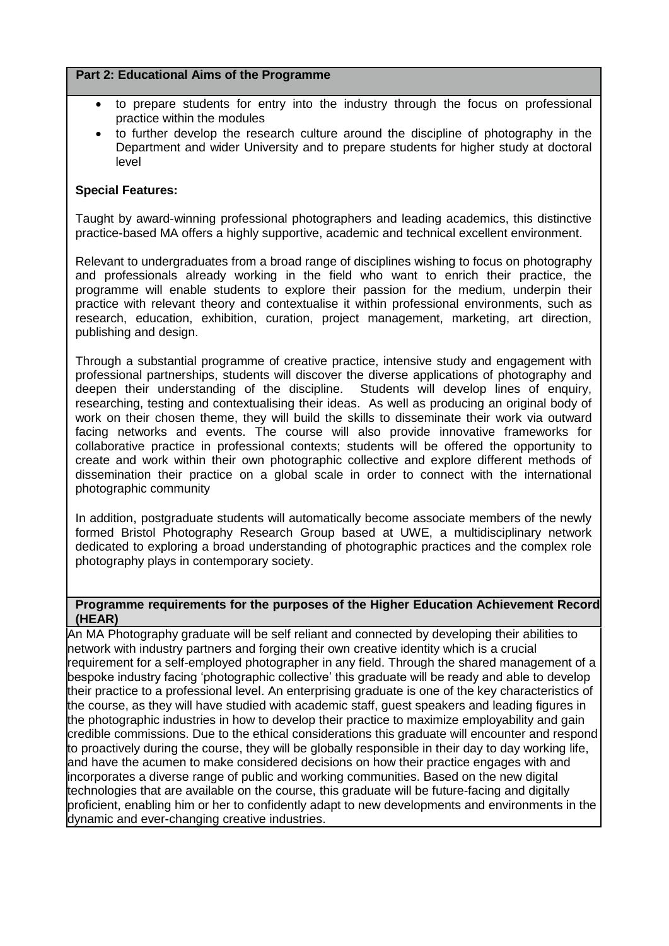## **Part 2: Educational Aims of the Programme**

- to prepare students for entry into the industry through the focus on professional practice within the modules
- to further develop the research culture around the discipline of photography in the Department and wider University and to prepare students for higher study at doctoral level

## **Special Features:**

Taught by award-winning professional photographers and leading academics, this distinctive practice-based MA offers a highly supportive, academic and technical excellent environment.

Relevant to undergraduates from a broad range of disciplines wishing to focus on photography and professionals already working in the field who want to enrich their practice, the programme will enable students to explore their passion for the medium, underpin their practice with relevant theory and contextualise it within professional environments, such as research, education, exhibition, curation, project management, marketing, art direction, publishing and design.

Through a substantial programme of creative practice, intensive study and engagement with professional partnerships, students will discover the diverse applications of photography and deepen their understanding of the discipline. Students will develop lines of enquiry, researching, testing and contextualising their ideas. As well as producing an original body of work on their chosen theme, they will build the skills to disseminate their work via outward facing networks and events. The course will also provide innovative frameworks for collaborative practice in professional contexts; students will be offered the opportunity to create and work within their own photographic collective and explore different methods of dissemination their practice on a global scale in order to connect with the international photographic community

In addition, postgraduate students will automatically become associate members of the newly formed Bristol Photography Research Group based at UWE, a multidisciplinary network dedicated to exploring a broad understanding of photographic practices and the complex role photography plays in contemporary society.

#### **Programme requirements for the purposes of the Higher Education Achievement Record (HEAR)**

An MA Photography graduate will be self reliant and connected by developing their abilities to network with industry partners and forging their own creative identity which is a crucial requirement for a self-employed photographer in any field. Through the shared management of a bespoke industry facing 'photographic collective' this graduate will be ready and able to develop their practice to a professional level. An enterprising graduate is one of the key characteristics of the course, as they will have studied with academic staff, guest speakers and leading figures in the photographic industries in how to develop their practice to maximize employability and gain credible commissions. Due to the ethical considerations this graduate will encounter and respond to proactively during the course, they will be globally responsible in their day to day working life, and have the acumen to make considered decisions on how their practice engages with and incorporates a diverse range of public and working communities. Based on the new digital technologies that are available on the course, this graduate will be future-facing and digitally proficient, enabling him or her to confidently adapt to new developments and environments in the dynamic and ever-changing creative industries.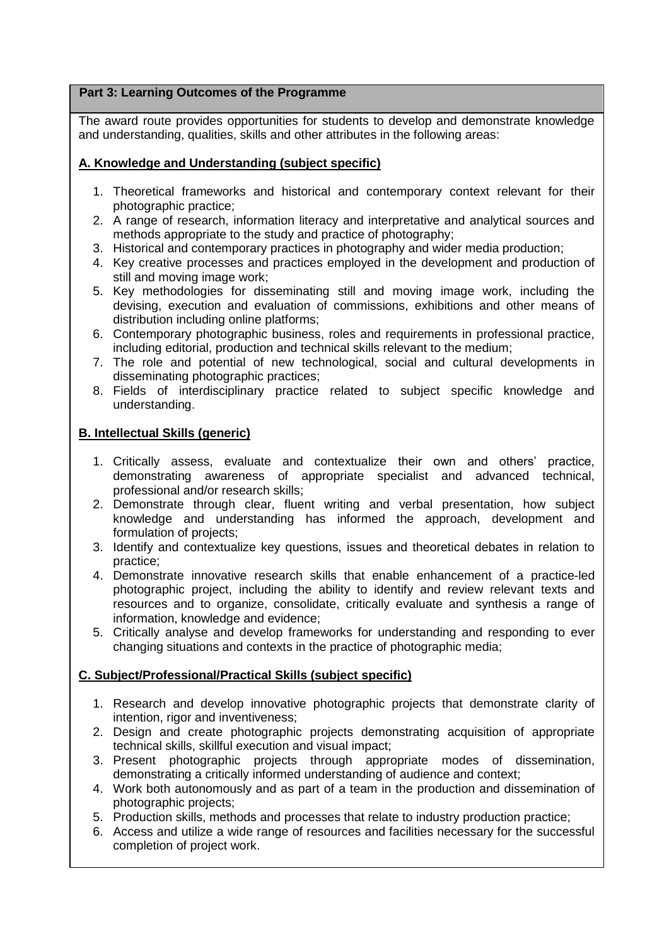# **Part 3: Learning Outcomes of the Programme**

The award route provides opportunities for students to develop and demonstrate knowledge and understanding, qualities, skills and other attributes in the following areas:

# **A. Knowledge and Understanding (subject specific)**

- 1. Theoretical frameworks and historical and contemporary context relevant for their photographic practice;
- 2. A range of research, information literacy and interpretative and analytical sources and methods appropriate to the study and practice of photography;
- 3. Historical and contemporary practices in photography and wider media production;
- 4. Key creative processes and practices employed in the development and production of still and moving image work;
- 5. Key methodologies for disseminating still and moving image work, including the devising, execution and evaluation of commissions, exhibitions and other means of distribution including online platforms;
- 6. Contemporary photographic business, roles and requirements in professional practice, including editorial, production and technical skills relevant to the medium;
- 7. The role and potential of new technological, social and cultural developments in disseminating photographic practices;
- 8. Fields of interdisciplinary practice related to subject specific knowledge and understanding.

# **B. Intellectual Skills (generic)**

- 1. Critically assess, evaluate and contextualize their own and others' practice, demonstrating awareness of appropriate specialist and advanced technical, professional and/or research skills;
- 2. Demonstrate through clear, fluent writing and verbal presentation, how subject knowledge and understanding has informed the approach, development and formulation of projects;
- 3. Identify and contextualize key questions, issues and theoretical debates in relation to practice;
- 4. Demonstrate innovative research skills that enable enhancement of a practice-led photographic project, including the ability to identify and review relevant texts and resources and to organize, consolidate, critically evaluate and synthesis a range of information, knowledge and evidence;
- 5. Critically analyse and develop frameworks for understanding and responding to ever changing situations and contexts in the practice of photographic media;

# **C. Subject/Professional/Practical Skills (subject specific)**

- 1. Research and develop innovative photographic projects that demonstrate clarity of intention, rigor and inventiveness;
- 2. Design and create photographic projects demonstrating acquisition of appropriate technical skills, skillful execution and visual impact;
- 3. Present photographic projects through appropriate modes of dissemination, demonstrating a critically informed understanding of audience and context;
- 4. Work both autonomously and as part of a team in the production and dissemination of photographic projects;
- 5. Production skills, methods and processes that relate to industry production practice;
- 6. Access and utilize a wide range of resources and facilities necessary for the successful completion of project work.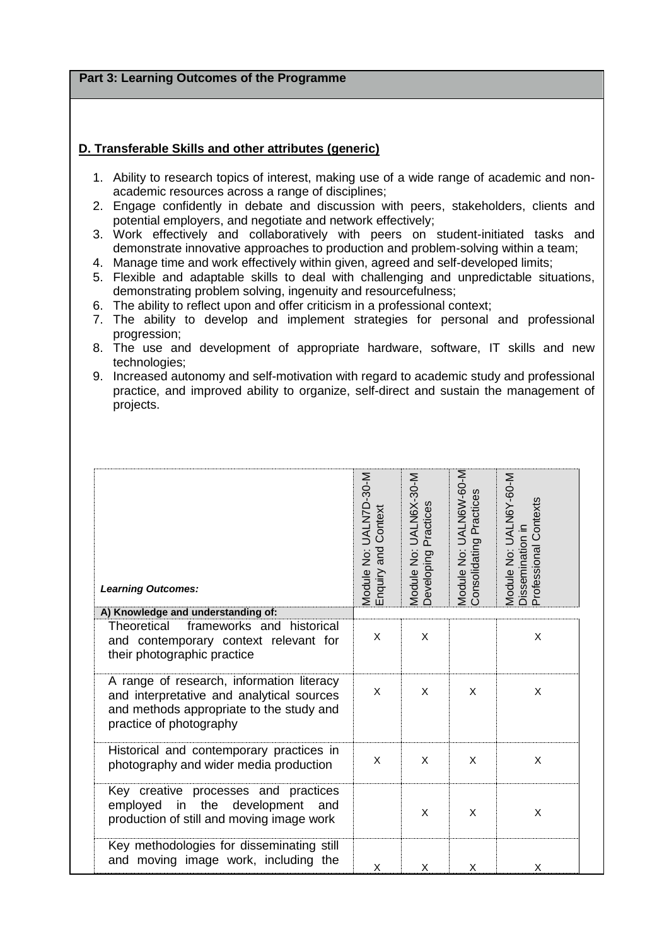**Part 3: Learning Outcomes of the Programme**

### **D. Transferable Skills and other attributes (generic)**

- 1. Ability to research topics of interest, making use of a wide range of academic and nonacademic resources across a range of disciplines;
- 2. Engage confidently in debate and discussion with peers, stakeholders, clients and potential employers, and negotiate and network effectively;
- 3. Work effectively and collaboratively with peers on student-initiated tasks and demonstrate innovative approaches to production and problem-solving within a team;
- 4. Manage time and work effectively within given, agreed and self-developed limits;
- 5. Flexible and adaptable skills to deal with challenging and unpredictable situations, demonstrating problem solving, ingenuity and resourcefulness;
- 6. The ability to reflect upon and offer criticism in a professional context;
- 7. The ability to develop and implement strategies for personal and professional progression;
- 8. The use and development of appropriate hardware, software, IT skills and new technologies;
- 9. Increased autonomy and self-motivation with regard to academic study and professional practice, and improved ability to organize, self-direct and sustain the management of projects.

| <b>Learning Outcomes:</b>                                                                                                                                     | Module No: UALN7D-30-M<br>Enquiry and Context | Module No: UALN6X-30-M<br>Practices<br>Developing | Module No: UALN6W-60-M<br>Consolidating Practices | Module No: UALN6Y-60-M<br>Professional Contexts<br>Dissemination in |
|---------------------------------------------------------------------------------------------------------------------------------------------------------------|-----------------------------------------------|---------------------------------------------------|---------------------------------------------------|---------------------------------------------------------------------|
| A) Knowledge and understanding of:                                                                                                                            |                                               |                                                   |                                                   |                                                                     |
| frameworks and historical<br>Theoretical<br>and contemporary context relevant for<br>their photographic practice                                              | X                                             | X                                                 |                                                   | X                                                                   |
| A range of research, information literacy<br>and interpretative and analytical sources<br>and methods appropriate to the study and<br>practice of photography | X                                             | X                                                 | X                                                 | X                                                                   |
| Historical and contemporary practices in<br>photography and wider media production                                                                            | X                                             | X                                                 | X                                                 | X                                                                   |
| Key creative processes and practices<br>in<br>the<br>development<br>employed<br>and<br>production of still and moving image work                              |                                               | X                                                 | X                                                 | X                                                                   |
| Key methodologies for disseminating still<br>and moving image work, including the                                                                             | X                                             | X                                                 | X                                                 | X                                                                   |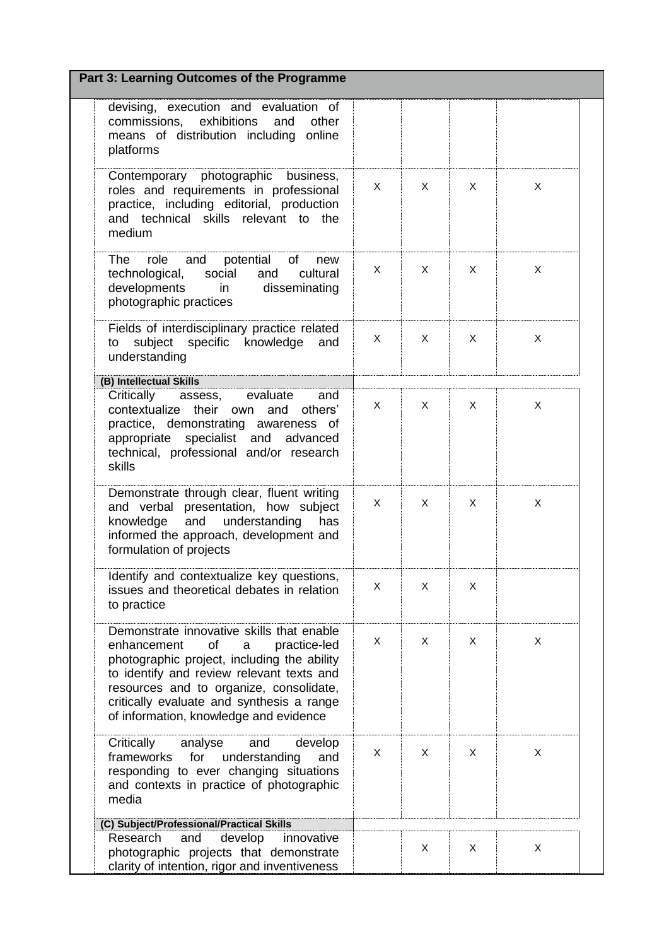| Part 3: Learning Outcomes of the Programme                                                                                                                                                                                                                                                                        |              |              |   |                |  |
|-------------------------------------------------------------------------------------------------------------------------------------------------------------------------------------------------------------------------------------------------------------------------------------------------------------------|--------------|--------------|---|----------------|--|
| devising, execution and evaluation of<br>commissions, exhibitions<br>and<br>other<br>means of distribution including online<br>platforms                                                                                                                                                                          |              |              |   |                |  |
| Contemporary photographic<br>business,<br>roles and requirements in professional<br>practice, including editorial, production<br>and technical skills relevant to the<br>medium                                                                                                                                   | $\mathsf{X}$ | X            | X | X              |  |
| and<br>role<br>potential<br>The<br>of<br>new<br>social<br>technological,<br>and<br>cultural<br>developments<br>disseminating<br>$\mathsf{in}$<br>photographic practices                                                                                                                                           | X            | X            | X | X              |  |
| Fields of interdisciplinary practice related<br>subject specific knowledge<br>to<br>and<br>understanding                                                                                                                                                                                                          | X            | X            | X | X              |  |
| (B) Intellectual Skills                                                                                                                                                                                                                                                                                           |              |              |   |                |  |
| Critically<br>evaluate<br>assess,<br>and<br>contextualize their<br>own and<br>others'<br>practice, demonstrating awareness of<br>appropriate specialist and advanced<br>technical, professional and/or research<br>skills                                                                                         | X            | X            | X | X              |  |
| Demonstrate through clear, fluent writing<br>and verbal presentation, how subject<br>and understanding<br>knowledge<br>has<br>informed the approach, development and<br>formulation of projects                                                                                                                   | $\mathsf{X}$ | $\mathsf{X}$ | X | $\pmb{\times}$ |  |
| Identify and contextualize key questions,<br>issues and theoretical debates in relation<br>to practice                                                                                                                                                                                                            | X            | X            | X |                |  |
| Demonstrate innovative skills that enable<br>enhancement<br>of<br>practice-led<br>a<br>photographic project, including the ability<br>to identify and review relevant texts and<br>resources and to organize, consolidate,<br>critically evaluate and synthesis a range<br>of information, knowledge and evidence | X            | X            | X | X              |  |
| Critically<br>analyse<br>and<br>develop<br>frameworks<br>for<br>understanding<br>and<br>responding to ever changing situations<br>and contexts in practice of photographic<br>media                                                                                                                               | X            | X            | X | $\pmb{\times}$ |  |
| (C) Subject/Professional/Practical Skills                                                                                                                                                                                                                                                                         |              |              |   |                |  |
| Research<br>innovative<br>and<br>develop<br>photographic projects that demonstrate<br>clarity of intention, rigor and inventiveness                                                                                                                                                                               |              | X            | X | X              |  |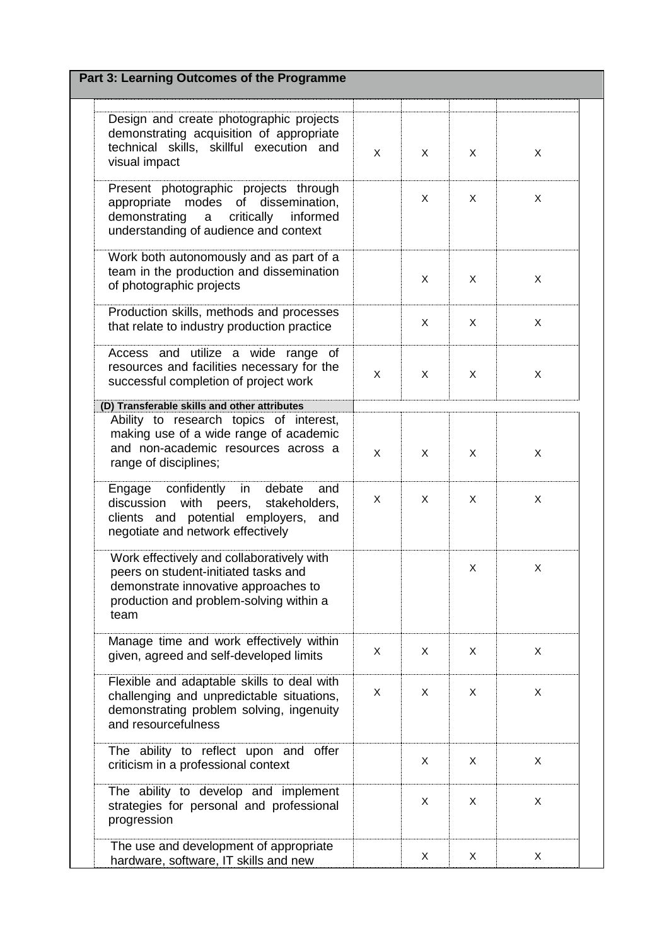| Design and create photographic projects<br>demonstrating acquisition of appropriate<br>technical skills, skillful execution and<br>visual impact                             | $\mathsf{X}$ | X              | X | X |
|------------------------------------------------------------------------------------------------------------------------------------------------------------------------------|--------------|----------------|---|---|
| Present photographic projects through<br>appropriate modes of dissemination,<br>demonstrating a critically<br>informed<br>understanding of audience and context              |              | X              | X | X |
| Work both autonomously and as part of a<br>team in the production and dissemination<br>of photographic projects                                                              |              | X              | X | X |
| Production skills, methods and processes<br>that relate to industry production practice                                                                                      |              | X              | X | X |
| Access and utilize a wide range of<br>resources and facilities necessary for the<br>successful completion of project work                                                    | $\mathsf{X}$ | $\mathsf{X}$   | X | X |
| (D) Transferable skills and other attributes                                                                                                                                 |              |                |   |   |
| Ability to research topics of interest,<br>making use of a wide range of academic<br>and non-academic resources across a<br>range of disciplines;                            | X            | $\pmb{\times}$ | X | X |
| Engage confidently<br>in<br>debate<br>and<br>with peers,<br>discussion<br>stakeholders,<br>clients and potential employers,<br>and<br>negotiate and network effectively      | X.           | X              | X | X |
| Work effectively and collaboratively with<br>peers on student-initiated tasks and<br>demonstrate innovative approaches to<br>production and problem-solving within a<br>team |              |                | X | X |
| Manage time and work effectively within<br>given, agreed and self-developed limits                                                                                           | X            | X              | X | X |
| Flexible and adaptable skills to deal with<br>challenging and unpredictable situations,<br>demonstrating problem solving, ingenuity<br>and resourcefulness                   | X            | X              | X | X |
| The ability to reflect upon and offer<br>criticism in a professional context                                                                                                 |              | X              | X | X |
| The ability to develop and implement<br>strategies for personal and professional<br>progression                                                                              |              | X              | X | X |
| The use and development of appropriate<br>hardware, software, IT skills and new                                                                                              |              | X              | X | X |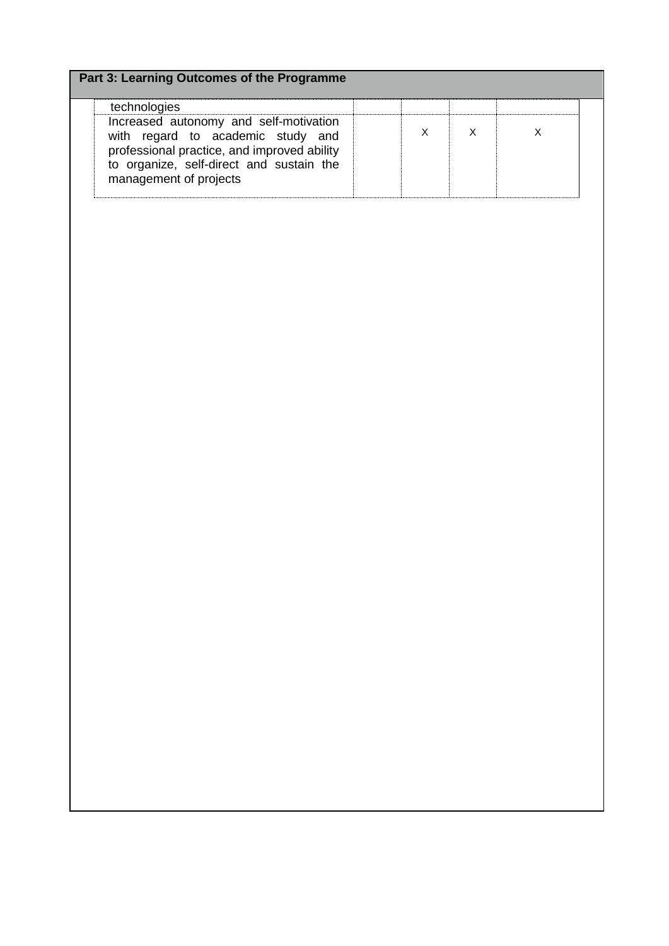| Part 3: Learning Outcomes of the Programme                                                                                                                                                                       |             |              |             |  |
|------------------------------------------------------------------------------------------------------------------------------------------------------------------------------------------------------------------|-------------|--------------|-------------|--|
| technologies<br>Increased autonomy and self-motivation<br>with regard to academic study and<br>professional practice, and improved ability<br>to organize, self-direct and sustain the<br>management of projects | $\mathsf X$ | $\mathsf{X}$ | $\mathsf X$ |  |
|                                                                                                                                                                                                                  |             |              |             |  |
|                                                                                                                                                                                                                  |             |              |             |  |
|                                                                                                                                                                                                                  |             |              |             |  |
|                                                                                                                                                                                                                  |             |              |             |  |
|                                                                                                                                                                                                                  |             |              |             |  |
|                                                                                                                                                                                                                  |             |              |             |  |

 $\overline{\phantom{a}}$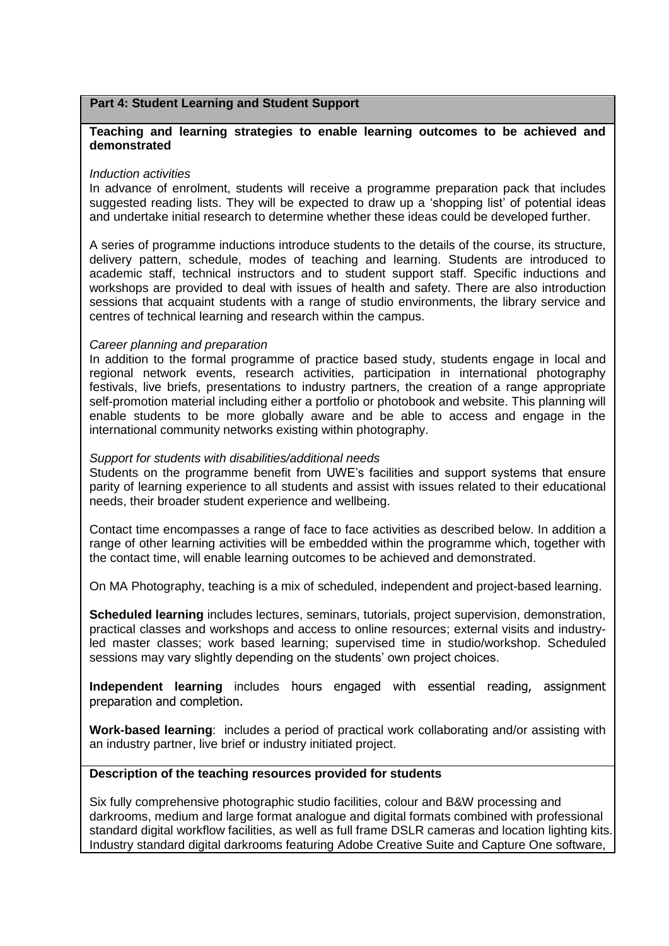#### **Part 4: Student Learning and Student Support**

#### **Teaching and learning strategies to enable learning outcomes to be achieved and demonstrated**

#### *Induction activities*

In advance of enrolment, students will receive a programme preparation pack that includes suggested reading lists. They will be expected to draw up a 'shopping list' of potential ideas and undertake initial research to determine whether these ideas could be developed further.

A series of programme inductions introduce students to the details of the course, its structure, delivery pattern, schedule, modes of teaching and learning. Students are introduced to academic staff, technical instructors and to student support staff. Specific inductions and workshops are provided to deal with issues of health and safety. There are also introduction sessions that acquaint students with a range of studio environments, the library service and centres of technical learning and research within the campus.

#### *Career planning and preparation*

In addition to the formal programme of practice based study, students engage in local and regional network events, research activities, participation in international photography festivals, live briefs, presentations to industry partners, the creation of a range appropriate self-promotion material including either a portfolio or photobook and website. This planning will enable students to be more globally aware and be able to access and engage in the international community networks existing within photography.

#### *Support for students with disabilities/additional needs*

Students on the programme benefit from UWE's facilities and support systems that ensure parity of learning experience to all students and assist with issues related to their educational needs, their broader student experience and wellbeing.

Contact time encompasses a range of face to face activities as described below. In addition a range of other learning activities will be embedded within the programme which, together with the contact time, will enable learning outcomes to be achieved and demonstrated.

On MA Photography, teaching is a mix of scheduled, independent and project-based learning.

**Scheduled learning** includes lectures, seminars, tutorials, project supervision, demonstration, practical classes and workshops and access to online resources; external visits and industryled master classes; work based learning; supervised time in studio/workshop. Scheduled sessions may vary slightly depending on the students' own project choices.

**Independent learning** includes hours engaged with essential reading, assignment preparation and completion.

**Work-based learning**: includes a period of practical work collaborating and/or assisting with an industry partner, live brief or industry initiated project.

## **Description of the teaching resources provided for students**

Six fully comprehensive photographic studio facilities, colour and B&W processing and darkrooms, medium and large format analogue and digital formats combined with professional standard digital workflow facilities, as well as full frame DSLR cameras and location lighting kits. Industry standard digital darkrooms featuring Adobe Creative Suite and Capture One software,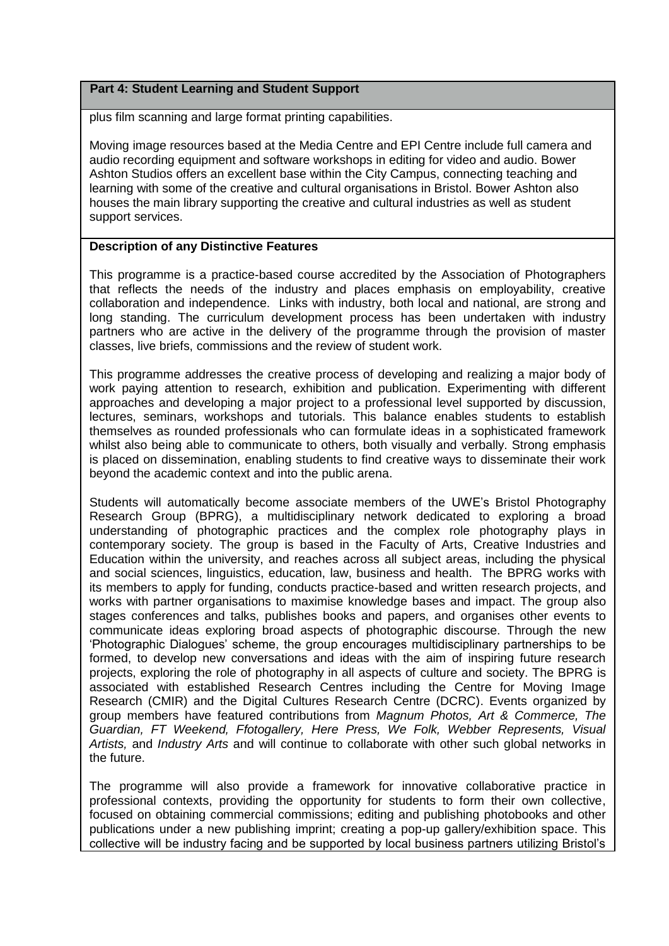## **Part 4: Student Learning and Student Support**

plus film scanning and large format printing capabilities.

Moving image resources based at the Media Centre and EPI Centre include full camera and audio recording equipment and software workshops in editing for video and audio. Bower Ashton Studios offers an excellent base within the City Campus, connecting teaching and learning with some of the creative and cultural organisations in Bristol. Bower Ashton also houses the main library supporting the creative and cultural industries as well as student support services.

#### **Description of any Distinctive Features**

This programme is a practice-based course accredited by the Association of Photographers that reflects the needs of the industry and places emphasis on employability, creative collaboration and independence. Links with industry, both local and national, are strong and long standing. The curriculum development process has been undertaken with industry partners who are active in the delivery of the programme through the provision of master classes, live briefs, commissions and the review of student work.

This programme addresses the creative process of developing and realizing a major body of work paying attention to research, exhibition and publication. Experimenting with different approaches and developing a major project to a professional level supported by discussion, lectures, seminars, workshops and tutorials. This balance enables students to establish themselves as rounded professionals who can formulate ideas in a sophisticated framework whilst also being able to communicate to others, both visually and verbally. Strong emphasis is placed on dissemination, enabling students to find creative ways to disseminate their work beyond the academic context and into the public arena.

Students will automatically become associate members of the UWE's Bristol Photography Research Group (BPRG), a multidisciplinary network dedicated to exploring a broad understanding of photographic practices and the complex role photography plays in contemporary society. The group is based in the Faculty of Arts, Creative Industries and Education within the university, and reaches across all subject areas, including the physical and social sciences, linguistics, education, law, business and health. The BPRG works with its members to apply for funding, conducts practice-based and written research projects, and works with partner organisations to maximise knowledge bases and impact. The group also stages conferences and talks, publishes books and papers, and organises other events to communicate ideas exploring broad aspects of photographic discourse. Through the new 'Photographic Dialogues' scheme, the group encourages multidisciplinary partnerships to be formed, to develop new conversations and ideas with the aim of inspiring future research projects, exploring the role of photography in all aspects of culture and society. The BPRG is associated with established Research Centres including the Centre for Moving Image Research (CMIR) and the Digital Cultures Research Centre (DCRC). Events organized by group members have featured contributions from *Magnum Photos, Art & Commerce, The Guardian, FT Weekend, Ffotogallery, Here Press, We Folk, Webber Represents, Visual Artists,* and *Industry Arts* and will continue to collaborate with other such global networks in the future.

The programme will also provide a framework for innovative collaborative practice in professional contexts, providing the opportunity for students to form their own collective, focused on obtaining commercial commissions; editing and publishing photobooks and other publications under a new publishing imprint; creating a pop-up gallery/exhibition space. This collective will be industry facing and be supported by local business partners utilizing Bristol's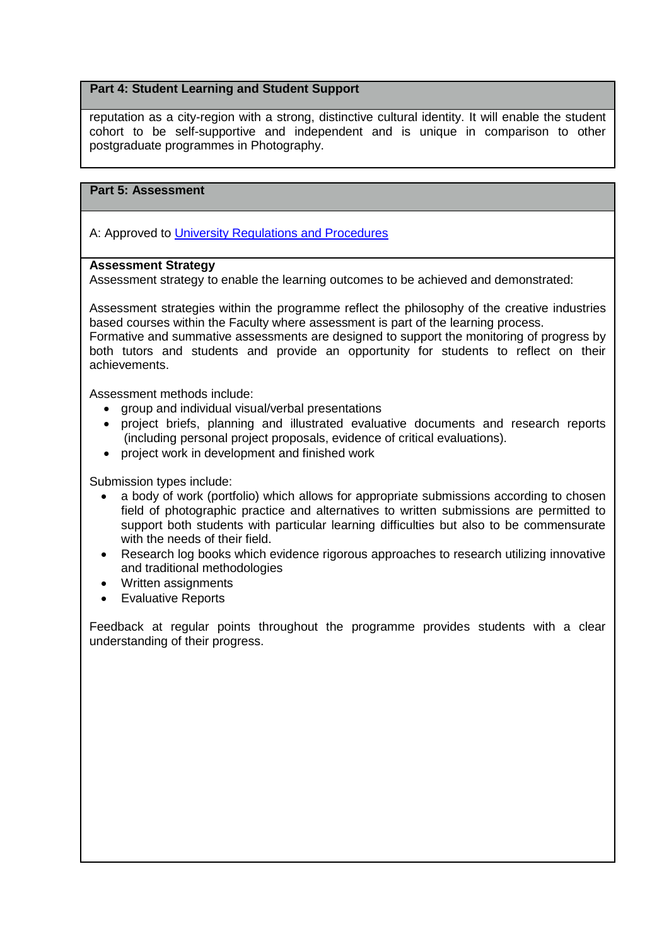## **Part 4: Student Learning and Student Support**

reputation as a city-region with a strong, distinctive cultural identity. It will enable the student cohort to be self-supportive and independent and is unique in comparison to other postgraduate programmes in Photography.

# **Part 5: Assessment**

A: Approved to [University Regulations and Procedures](http://www1.uwe.ac.uk/students/academicadvice/assessments/regulationsandprocedures.aspx)

# **Assessment Strategy**

Assessment strategy to enable the learning outcomes to be achieved and demonstrated:

Assessment strategies within the programme reflect the philosophy of the creative industries based courses within the Faculty where assessment is part of the learning process.

Formative and summative assessments are designed to support the monitoring of progress by both tutors and students and provide an opportunity for students to reflect on their achievements.

Assessment methods include:

- group and individual visual/verbal presentations
- project briefs, planning and illustrated evaluative documents and research reports (including personal project proposals, evidence of critical evaluations).
- project work in development and finished work

Submission types include:

- a body of work (portfolio) which allows for appropriate submissions according to chosen field of photographic practice and alternatives to written submissions are permitted to support both students with particular learning difficulties but also to be commensurate with the needs of their field.
- Research log books which evidence rigorous approaches to research utilizing innovative and traditional methodologies
- Written assignments
- Evaluative Reports

Feedback at regular points throughout the programme provides students with a clear understanding of their progress.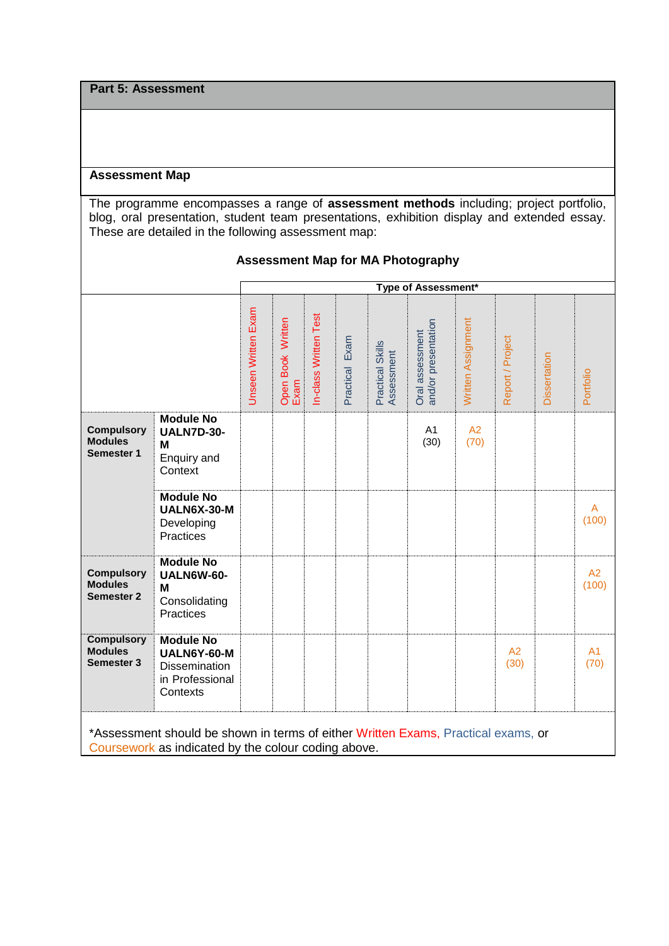**Part 5: Assessment**

### **Assessment Map**

The programme encompasses a range of **assessment methods** including; project portfolio, blog, oral presentation, student team presentations, exhibition display and extended essay. These are detailed in the following assessment map:

|                                                                                                                                          |                                                                                        | Type of Assessment* |                           |                       |                   |                                |                                        |                    |                        |                     |                        |
|------------------------------------------------------------------------------------------------------------------------------------------|----------------------------------------------------------------------------------------|---------------------|---------------------------|-----------------------|-------------------|--------------------------------|----------------------------------------|--------------------|------------------------|---------------------|------------------------|
|                                                                                                                                          |                                                                                        | Unseen Written Exam | Open Book Written<br>Exam | In-class Written Test | Exam<br>Practical | Practical Skills<br>Assessment | and/or presentation<br>Oral assessment | Written Assignment | Report / Project       | <b>Dissertation</b> | Portfolio              |
| <b>Compulsory</b><br><b>Modules</b><br><b>Semester 1</b>                                                                                 | <b>Module No</b><br><b>UALN7D-30-</b><br>M<br>Enquiry and<br>Context                   |                     |                           |                       |                   |                                | A1<br>(30)                             | A2<br>(70)         |                        |                     |                        |
|                                                                                                                                          | <b>Module No</b><br>UALN6X-30-M<br>Developing<br>Practices                             |                     |                           |                       |                   |                                |                                        |                    |                        |                     | A<br>(100)             |
| <b>Compulsory</b><br><b>Modules</b><br><b>Semester 2</b>                                                                                 | <b>Module No</b><br><b>UALN6W-60-</b><br>M<br>Consolidating<br>Practices               |                     |                           |                       |                   |                                |                                        |                    |                        |                     | A2<br>(100)            |
| <b>Compulsory</b><br><b>Modules</b><br><b>Semester 3</b>                                                                                 | <b>Module No</b><br>UALN6Y-60-M<br><b>Dissemination</b><br>in Professional<br>Contexts |                     |                           |                       |                   |                                |                                        |                    | A <sub>2</sub><br>(30) |                     | A <sub>1</sub><br>(70) |
| *Assessment should be shown in terms of either Written Exams, Practical exams, or<br>Coursework as indicated by the colour coding above. |                                                                                        |                     |                           |                       |                   |                                |                                        |                    |                        |                     |                        |

# **Assessment Map for MA Photography**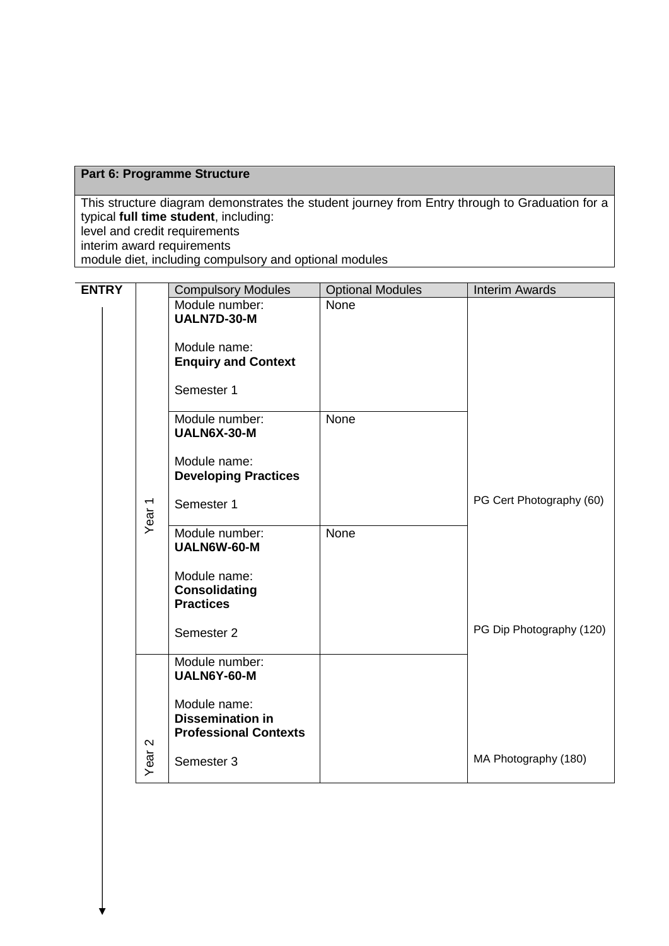# **Part 6: Programme Structure**

This structure diagram demonstrates the student journey from Entry through to Graduation for a typical **full time student**, including: level and credit requirements interim award requirements

module diet, including compulsory and optional modules

| <b>ENTRY</b> |                     | <b>Compulsory Modules</b>                                                                                              | <b>Optional Modules</b> | <b>Interim Awards</b>    |
|--------------|---------------------|------------------------------------------------------------------------------------------------------------------------|-------------------------|--------------------------|
|              |                     | UALN7D-30-M<br>Module name:<br><b>Enquiry and Context</b><br>Semester 1                                                | None                    |                          |
|              |                     | Module number:<br>UALN6X-30-M<br>Module name:<br><b>Developing Practices</b><br>Semester 1                             | <b>None</b>             | PG Cert Photography (60) |
|              |                     | Module number:<br>UALN6W-60-M<br>Module name:<br><b>Consolidating</b><br><b>Practices</b><br>Semester 2                | None                    | PG Dip Photography (120) |
|              | $\boldsymbol{\sim}$ | Module number:<br>UALN6Y-60-M<br>Module name:<br><b>Dissemination in</b><br><b>Professional Contexts</b><br>Semester 3 |                         | MA Photography (180)     |
|              |                     | Year <sub>1</sub><br>Year                                                                                              | Module number:          |                          |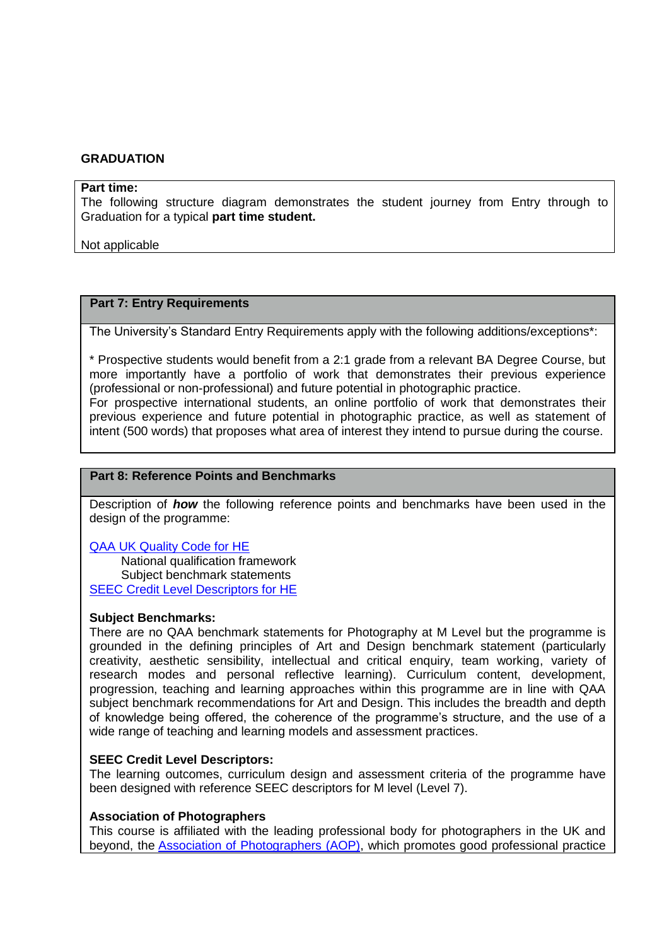#### **GRADUATION**

#### **Part time:**

The following structure diagram demonstrates the student journey from Entry through to Graduation for a typical **part time student.**

Not applicable

## **Part 7: Entry Requirements**

The University's Standard Entry Requirements apply with the following additions/exceptions\*:

\* Prospective students would benefit from a 2:1 grade from a relevant BA Degree Course, but more importantly have a portfolio of work that demonstrates their previous experience (professional or non-professional) and future potential in photographic practice. For prospective international students, an online portfolio of work that demonstrates their

previous experience and future potential in photographic practice, as well as statement of intent (500 words) that proposes what area of interest they intend to pursue during the course.

## **Part 8: Reference Points and Benchmarks**

Description of *how* the following reference points and benchmarks have been used in the design of the programme:

[QAA UK Quality Code for HE](http://www.qaa.ac.uk/assuringstandardsandquality/quality-code/Pages/default.aspx) National qualification framework Subject benchmark statements [SEEC Credit Level Descriptors for HE](http://www.seec.org.uk/seec-credit-level-descriptors-2010-revised-2004/)

#### **Subject Benchmarks:**

There are no QAA benchmark statements for Photography at M Level but the programme is grounded in the defining principles of Art and Design benchmark statement (particularly creativity, aesthetic sensibility, intellectual and critical enquiry, team working, variety of research modes and personal reflective learning). Curriculum content, development, progression, teaching and learning approaches within this programme are in line with QAA subject benchmark recommendations for Art and Design. This includes the breadth and depth of knowledge being offered, the coherence of the programme's structure, and the use of a wide range of teaching and learning models and assessment practices.

### **SEEC Credit Level Descriptors:**

The learning outcomes, curriculum design and assessment criteria of the programme have been designed with reference SEEC descriptors for M level (Level 7).

### **Association of Photographers**

This course is affiliated with the leading professional body for photographers in the UK and beyond, the [Association of Photographers \(AOP\),](http://www.the-aop.org/) which promotes good professional practice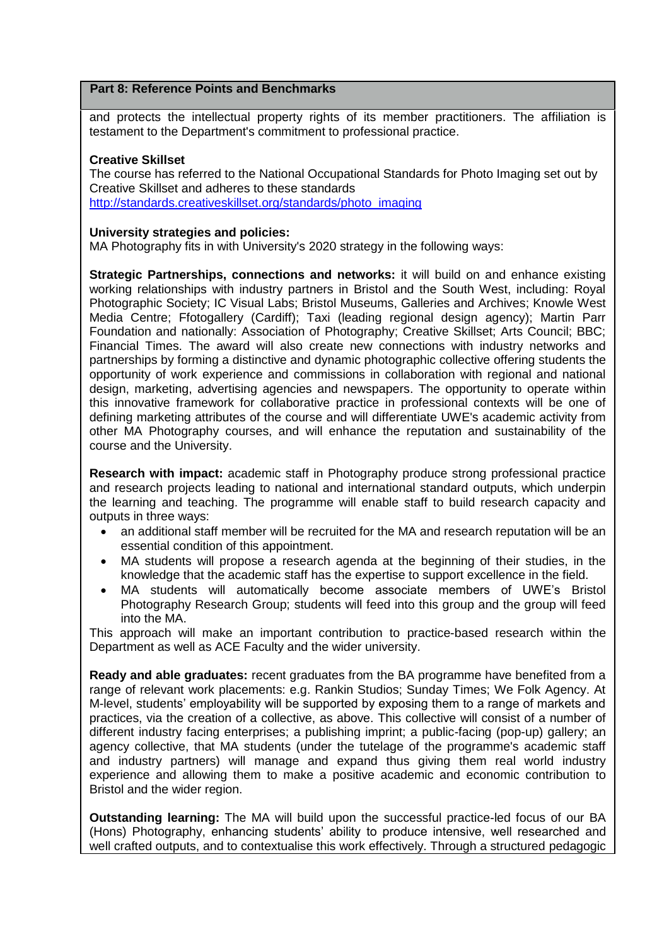## **Part 8: Reference Points and Benchmarks**

and protects the intellectual property rights of its member practitioners. The affiliation is testament to the Department's commitment to professional practice.

## **Creative Skillset**

The course has referred to the National Occupational Standards for Photo Imaging set out by Creative Skillset and adheres to these standards [http://standards.creativeskillset.org/standards/photo\\_imaging](http://standards.creativeskillset.org/standards/photo_imaging)

### **University strategies and policies:**

MA Photography fits in with University's 2020 strategy in the following ways:

**Strategic Partnerships, connections and networks:** it will build on and enhance existing working relationships with industry partners in Bristol and the South West, including: Royal Photographic Society; IC Visual Labs; Bristol Museums, Galleries and Archives; Knowle West Media Centre; Ffotogallery (Cardiff); Taxi (leading regional design agency); Martin Parr Foundation and nationally: Association of Photography; Creative Skillset; Arts Council; BBC; Financial Times. The award will also create new connections with industry networks and partnerships by forming a distinctive and dynamic photographic collective offering students the opportunity of work experience and commissions in collaboration with regional and national design, marketing, advertising agencies and newspapers. The opportunity to operate within this innovative framework for collaborative practice in professional contexts will be one of defining marketing attributes of the course and will differentiate UWE's academic activity from other MA Photography courses, and will enhance the reputation and sustainability of the course and the University.

**Research with impact:** academic staff in Photography produce strong professional practice and research projects leading to national and international standard outputs, which underpin the learning and teaching. The programme will enable staff to build research capacity and outputs in three ways:

- an additional staff member will be recruited for the MA and research reputation will be an essential condition of this appointment.
- MA students will propose a research agenda at the beginning of their studies, in the knowledge that the academic staff has the expertise to support excellence in the field.
- MA students will automatically become associate members of UWE's Bristol Photography Research Group; students will feed into this group and the group will feed into the MA.

This approach will make an important contribution to practice-based research within the Department as well as ACE Faculty and the wider university.

**Ready and able graduates:** recent graduates from the BA programme have benefited from a range of relevant work placements: e.g. Rankin Studios; Sunday Times; We Folk Agency. At M-level, students' employability will be supported by exposing them to a range of markets and practices, via the creation of a collective, as above. This collective will consist of a number of different industry facing enterprises; a publishing imprint; a public-facing (pop-up) gallery; an agency collective, that MA students (under the tutelage of the programme's academic staff and industry partners) will manage and expand thus giving them real world industry experience and allowing them to make a positive academic and economic contribution to Bristol and the wider region.

**Outstanding learning:** The MA will build upon the successful practice-led focus of our BA (Hons) Photography, enhancing students' ability to produce intensive, well researched and well crafted outputs, and to contextualise this work effectively. Through a structured pedagogic